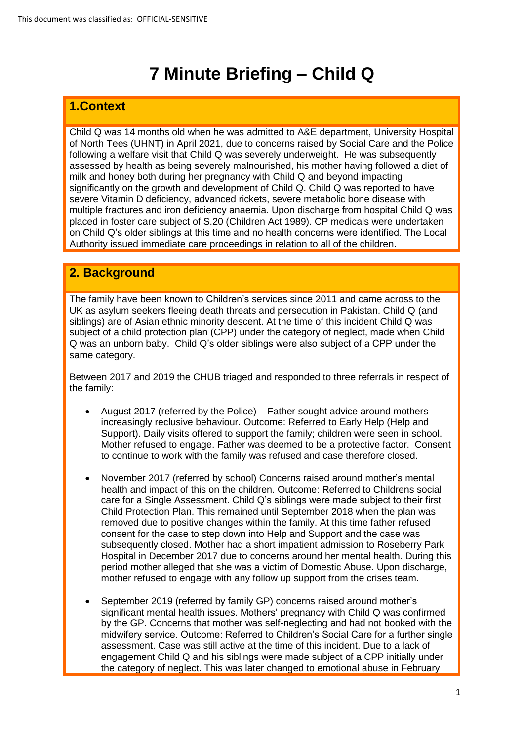# **7 Minute Briefing – Child Q**

## **1.Context**

Child Q was 14 months old when he was admitted to A&E department, University Hospital of North Tees (UHNT) in April 2021, due to concerns raised by Social Care and the Police following a welfare visit that Child Q was severely underweight. He was subsequently assessed by health as being severely malnourished, his mother having followed a diet of milk and honey both during her pregnancy with Child Q and beyond impacting significantly on the growth and development of Child Q. Child Q was reported to have severe Vitamin D deficiency, advanced rickets, severe metabolic bone disease with multiple fractures and iron deficiency anaemia. Upon discharge from hospital Child Q was placed in foster care subject of S.20 (Children Act 1989). CP medicals were undertaken on Child Q's older siblings at this time and no health concerns were identified. The Local Authority issued immediate care proceedings in relation to all of the children.

# **2. Background**

The family have been known to Children's services since 2011 and came across to the UK as asylum seekers fleeing death threats and persecution in Pakistan. Child Q (and siblings) are of Asian ethnic minority descent. At the time of this incident Child Q was subject of a child protection plan (CPP) under the category of neglect, made when Child Q was an unborn baby. Child Q's older siblings were also subject of a CPP under the same category.

Between 2017 and 2019 the CHUB triaged and responded to three referrals in respect of the family:

- August 2017 (referred by the Police) Father sought advice around mothers increasingly reclusive behaviour. Outcome: Referred to Early Help (Help and Support). Daily visits offered to support the family; children were seen in school. Mother refused to engage. Father was deemed to be a protective factor. Consent to continue to work with the family was refused and case therefore closed.
- November 2017 (referred by school) Concerns raised around mother's mental health and impact of this on the children. Outcome: Referred to Childrens social care for a Single Assessment. Child Q's siblings were made subject to their first Child Protection Plan. This remained until September 2018 when the plan was removed due to positive changes within the family. At this time father refused consent for the case to step down into Help and Support and the case was subsequently closed. Mother had a short impatient admission to Roseberry Park Hospital in December 2017 due to concerns around her mental health. During this period mother alleged that she was a victim of Domestic Abuse. Upon discharge, mother refused to engage with any follow up support from the crises team.
- September 2019 (referred by family GP) concerns raised around mother's significant mental health issues. Mothers' pregnancy with Child Q was confirmed by the GP. Concerns that mother was self-neglecting and had not booked with the midwifery service. Outcome: Referred to Children's Social Care for a further single assessment. Case was still active at the time of this incident. Due to a lack of engagement Child Q and his siblings were made subject of a CPP initially under the category of neglect. This was later changed to emotional abuse in February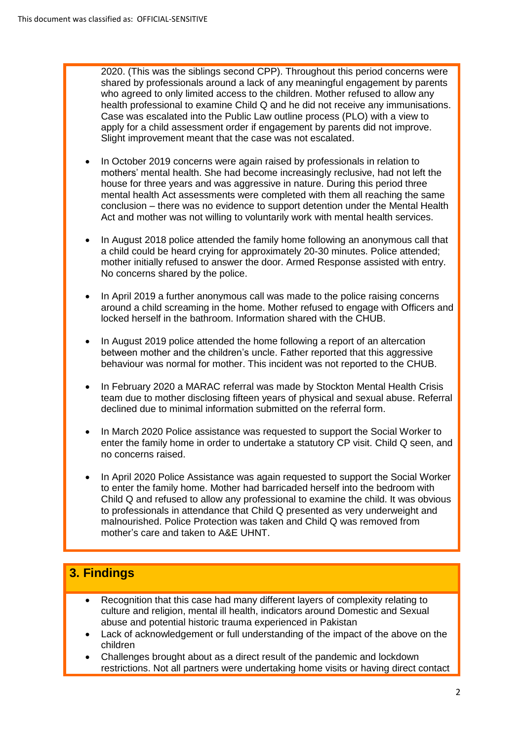2020. (This was the siblings second CPP). Throughout this period concerns were shared by professionals around a lack of any meaningful engagement by parents who agreed to only limited access to the children. Mother refused to allow any health professional to examine Child Q and he did not receive any immunisations. Case was escalated into the Public Law outline process (PLO) with a view to apply for a child assessment order if engagement by parents did not improve. Slight improvement meant that the case was not escalated.

- In October 2019 concerns were again raised by professionals in relation to mothers' mental health. She had become increasingly reclusive, had not left the house for three years and was aggressive in nature. During this period three mental health Act assessments were completed with them all reaching the same conclusion – there was no evidence to support detention under the Mental Health Act and mother was not willing to voluntarily work with mental health services.
- In August 2018 police attended the family home following an anonymous call that a child could be heard crying for approximately 20-30 minutes. Police attended; mother initially refused to answer the door. Armed Response assisted with entry. No concerns shared by the police.
- In April 2019 a further anonymous call was made to the police raising concerns around a child screaming in the home. Mother refused to engage with Officers and locked herself in the bathroom. Information shared with the CHUB.
- In August 2019 police attended the home following a report of an altercation between mother and the children's uncle. Father reported that this aggressive behaviour was normal for mother. This incident was not reported to the CHUB.
- In February 2020 a MARAC referral was made by Stockton Mental Health Crisis team due to mother disclosing fifteen years of physical and sexual abuse. Referral declined due to minimal information submitted on the referral form.
- In March 2020 Police assistance was requested to support the Social Worker to enter the family home in order to undertake a statutory CP visit. Child Q seen, and no concerns raised.
- In April 2020 Police Assistance was again requested to support the Social Worker to enter the family home. Mother had barricaded herself into the bedroom with Child Q and refused to allow any professional to examine the child. It was obvious to professionals in attendance that Child Q presented as very underweight and malnourished. Police Protection was taken and Child Q was removed from mother's care and taken to A&E UHNT.

# **3. Findings**

- Recognition that this case had many different layers of complexity relating to culture and religion, mental ill health, indicators around Domestic and Sexual abuse and potential historic trauma experienced in Pakistan
- Lack of acknowledgement or full understanding of the impact of the above on the children
- Challenges brought about as a direct result of the pandemic and lockdown restrictions. Not all partners were undertaking home visits or having direct contact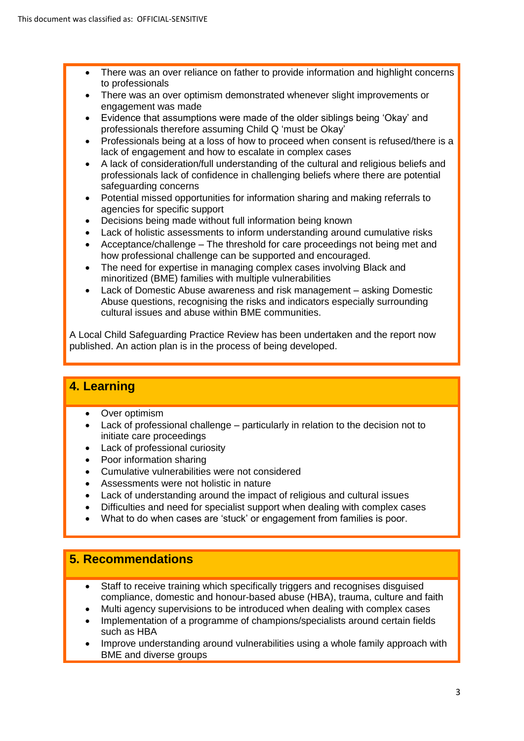- There was an over reliance on father to provide information and highlight concerns to professionals
- There was an over optimism demonstrated whenever slight improvements or engagement was made
- Evidence that assumptions were made of the older siblings being 'Okay' and professionals therefore assuming Child Q 'must be Okay'
- Professionals being at a loss of how to proceed when consent is refused/there is a lack of engagement and how to escalate in complex cases
- A lack of consideration/full understanding of the cultural and religious beliefs and professionals lack of confidence in challenging beliefs where there are potential safeguarding concerns
- Potential missed opportunities for information sharing and making referrals to agencies for specific support
- Decisions being made without full information being known
- Lack of holistic assessments to inform understanding around cumulative risks
- Acceptance/challenge The threshold for care proceedings not being met and how professional challenge can be supported and encouraged.
- The need for expertise in managing complex cases involving Black and minoritized (BME) families with multiple vulnerabilities
- Lack of Domestic Abuse awareness and risk management asking Domestic Abuse questions, recognising the risks and indicators especially surrounding cultural issues and abuse within BME communities.

A Local Child Safeguarding Practice Review has been undertaken and the report now published. An action plan is in the process of being developed.

# **4. Learning**

- Over optimism
- Lack of professional challenge particularly in relation to the decision not to initiate care proceedings
- Lack of professional curiosity
- Poor information sharing
- Cumulative vulnerabilities were not considered
- Assessments were not holistic in nature
- Lack of understanding around the impact of religious and cultural issues
- Difficulties and need for specialist support when dealing with complex cases
- What to do when cases are 'stuck' or engagement from families is poor.

## **5. Recommendations**

- Staff to receive training which specifically triggers and recognises disguised compliance, domestic and honour-based abuse (HBA), trauma, culture and faith
- Multi agency supervisions to be introduced when dealing with complex cases
- Implementation of a programme of champions/specialists around certain fields such as HBA
- Improve understanding around vulnerabilities using a whole family approach with BME and diverse groups